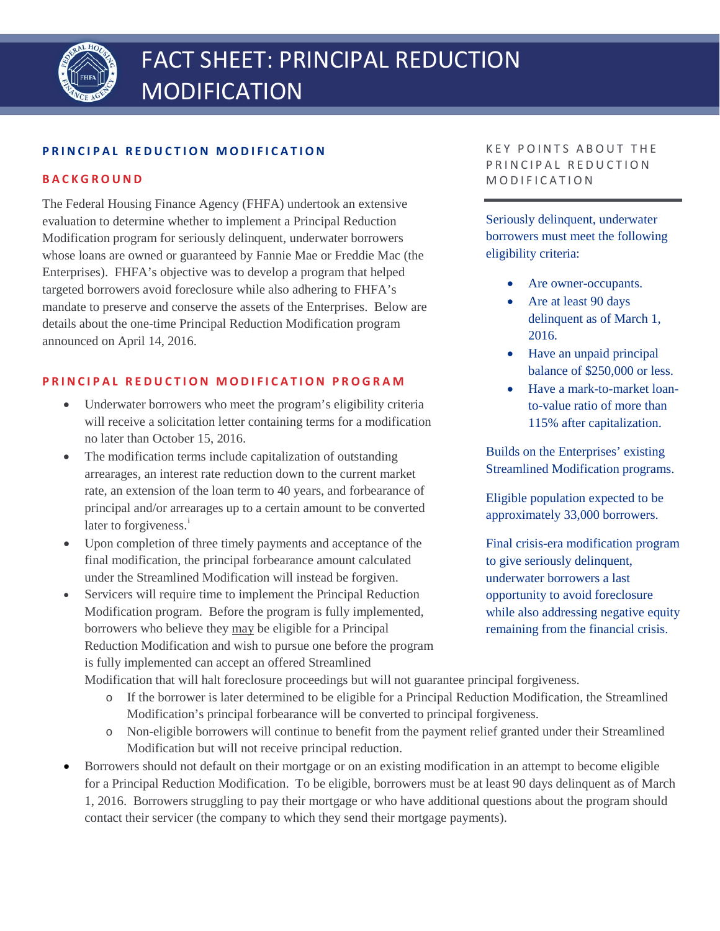

# **PRINCIPAL REDUCTION MODIFICATION**

### **BACKGROUND**

The Federal Housing Finance Agency (FHFA) undertook an extensive evaluation to determine whether to implement a Principal Reduction Modification program for seriously delinquent, underwater borrowers whose loans are owned or guaranteed by Fannie Mae or Freddie Mac (the Enterprises). FHFA's objective was to develop a program that helped targeted borrowers avoid foreclosure while also adhering to FHFA's mandate to preserve and conserve the assets of the Enterprises. Below are details about the one-time Principal Reduction Modification program announced on April 14, 2016.

### **PRINCIPAL REDUCTION MODIFICATION PROGRAM**

- Underwater borrowers who meet the program's eligibility criteria will receive a solicitation letter containing terms for a modification no later than October 15, 2016.
- The modification terms include capitalization of outstanding arrearages, an interest rate reduction down to the current market rate, an extension of the loan term to 40 years, and forbearance of principal and/or arrearages up to a certain amount to be converted later to forg[i](#page-1-0)veness.<sup>i</sup>
- Upon completion of three timely payments and acceptance of the final modification, the principal forbearance amount calculated under the Streamlined Modification will instead be forgiven.
- Servicers will require time to implement the Principal Reduction Modification program. Before the program is fully implemented, borrowers who believe they may be eligible for a Principal Reduction Modification and wish to pursue one before the program is fully implemented can accept an offered Streamlined

KEY POINTS ABOUT THE PRINCIPAL REDUCTION MODIFICATION

Seriously delinquent, underwater borrowers must meet the following eligibility criteria:

- Are owner-occupants.
- Are at least 90 days delinquent as of March 1, 2016.
- Have an unpaid principal balance of \$250,000 or less.
- Have a mark-to-market loanto-value ratio of more than 115% after capitalization.

Builds on the Enterprises' existing Streamlined Modification programs.

Eligible population expected to be approximately 33,000 borrowers.

Final crisis-era modification program to give seriously delinquent, underwater borrowers a last opportunity to avoid foreclosure while also addressing negative equity remaining from the financial crisis.

Modification that will halt foreclosure proceedings but will not guarantee principal forgiveness.

- o If the borrower is later determined to be eligible for a Principal Reduction Modification, the Streamlined Modification's principal forbearance will be converted to principal forgiveness.
- o Non-eligible borrowers will continue to benefit from the payment relief granted under their Streamlined Modification but will not receive principal reduction.
- Borrowers should not default on their mortgage or on an existing modification in an attempt to become eligible for a Principal Reduction Modification. To be eligible, borrowers must be at least 90 days delinquent as of March 1, 2016. Borrowers struggling to pay their mortgage or who have additional questions about the program should contact their servicer (the company to which they send their mortgage payments).